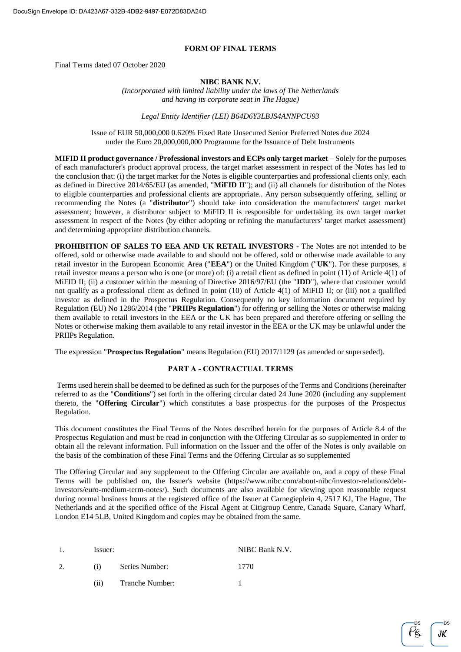#### **FORM OF FINAL TERMS**

Final Terms dated 07 October 2020

#### **NIBC BANK N.V.**

*(Incorporated with limited liability under the laws of The Netherlands and having its corporate seat in The Hague)*

*Legal Entity Identifier (LEI) B64D6Y3LBJS4ANNPCU93*

Issue of EUR 50,000,000 0.620% Fixed Rate Unsecured Senior Preferred Notes due 2024 under the Euro 20,000,000,000 Programme for the Issuance of Debt Instruments

**MIFID II product governance / Professional investors and ECPs only target market** – Solely for the purposes of each manufacturer's product approval process, the target market assessment in respect of the Notes has led to the conclusion that: (i) the target market for the Notes is eligible counterparties and professional clients only, each as defined in Directive 2014/65/EU (as amended, "**MiFID II**"); and (ii) all channels for distribution of the Notes to eligible counterparties and professional clients are appropriate.. Any person subsequently offering, selling or recommending the Notes (a "**distributor**") should take into consideration the manufacturers' target market assessment; however, a distributor subject to MiFID II is responsible for undertaking its own target market assessment in respect of the Notes (by either adopting or refining the manufacturers' target market assessment) and determining appropriate distribution channels.

**PROHIBITION OF SALES TO EEA AND UK RETAIL INVESTORS** - The Notes are not intended to be offered, sold or otherwise made available to and should not be offered, sold or otherwise made available to any retail investor in the European Economic Area ("**EEA**") or the United Kingdom ("**UK**"). For these purposes, a retail investor means a person who is one (or more) of: (i) a retail client as defined in point (11) of Article 4(1) of MiFID II; (ii) a customer within the meaning of Directive 2016/97/EU (the "**IDD**"), where that customer would not qualify as a professional client as defined in point (10) of Article 4(1) of MiFID II; or (iii) not a qualified investor as defined in the Prospectus Regulation. Consequently no key information document required by Regulation (EU) No 1286/2014 (the "**PRIIPs Regulation**") for offering or selling the Notes or otherwise making them available to retail investors in the EEA or the UK has been prepared and therefore offering or selling the Notes or otherwise making them available to any retail investor in the EEA or the UK may be unlawful under the PRIIPs Regulation.

The expression "**Prospectus Regulation**" means Regulation (EU) 2017/1129 (as amended or superseded).

#### **PART A - CONTRACTUAL TERMS**

Terms used herein shall be deemed to be defined as such for the purposes of the Terms and Conditions (hereinafter referred to as the "**Conditions**") set forth in the offering circular dated 24 June 2020 (including any supplement thereto, the "**Offering Circular**") which constitutes a base prospectus for the purposes of the Prospectus Regulation.

This document constitutes the Final Terms of the Notes described herein for the purposes of Article 8.4 of the Prospectus Regulation and must be read in conjunction with the Offering Circular as so supplemented in order to obtain all the relevant information. Full information on the Issuer and the offer of the Notes is only available on the basis of the combination of these Final Terms and the Offering Circular as so supplemented

The Offering Circular and any supplement to the Offering Circular are available on, and a copy of these Final Terms will be published on, the Issuer's website (https://www.nibc.com/about-nibc/investor-relations/debtinvestors/euro-medium-term-notes/). Such documents are also available for viewing upon reasonable request during normal business hours at the registered office of the Issuer at Carnegieplein 4, 2517 KJ, The Hague, The Netherlands and at the specified office of the Fiscal Agent at Citigroup Centre, Canada Square, Canary Wharf, London E14 5LB, United Kingdom and copies may be obtained from the same.

| -1. | Issuer: |                 | NIBC Bank N.V. |
|-----|---------|-----------------|----------------|
|     | (1)     | Series Number:  | 1770           |
|     | (i)     | Tranche Number: |                |

JK.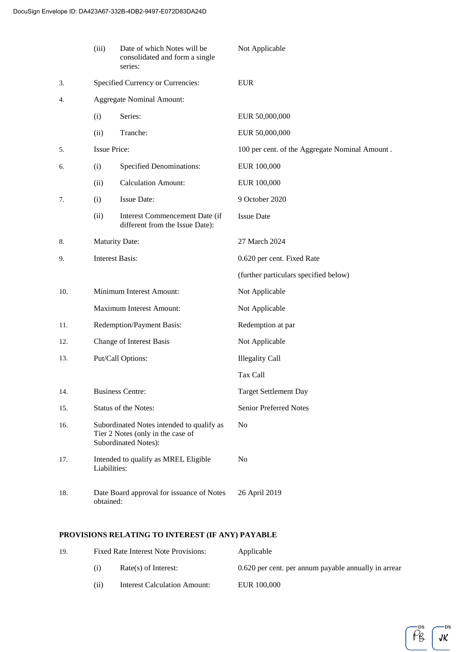|     | (iii)                    | Date of which Notes will be<br>consolidated and form a single<br>series:                                      | Not Applicable                                 |
|-----|--------------------------|---------------------------------------------------------------------------------------------------------------|------------------------------------------------|
| 3.  |                          | Specified Currency or Currencies:                                                                             | <b>EUR</b>                                     |
| 4.  |                          | <b>Aggregate Nominal Amount:</b>                                                                              |                                                |
|     | (i)                      | Series:                                                                                                       | EUR 50,000,000                                 |
|     | (ii)                     | Tranche:                                                                                                      | EUR 50,000,000                                 |
| 5.  | <b>Issue Price:</b>      |                                                                                                               | 100 per cent. of the Aggregate Nominal Amount. |
| 6.  | (i)                      | <b>Specified Denominations:</b>                                                                               | EUR 100,000                                    |
|     | (ii)                     | <b>Calculation Amount:</b>                                                                                    | EUR 100,000                                    |
| 7.  | (i)                      | <b>Issue Date:</b>                                                                                            | 9 October 2020                                 |
|     | (ii)                     | Interest Commencement Date (if<br>different from the Issue Date):                                             | <b>Issue Date</b>                              |
| 8.  | <b>Maturity Date:</b>    |                                                                                                               | 27 March 2024                                  |
| 9.  | <b>Interest Basis:</b>   |                                                                                                               | 0.620 per cent. Fixed Rate                     |
|     |                          |                                                                                                               | (further particulars specified below)          |
| 10. |                          | Minimum Interest Amount:                                                                                      | Not Applicable                                 |
|     |                          | Maximum Interest Amount:                                                                                      | Not Applicable                                 |
| 11. |                          | Redemption/Payment Basis:                                                                                     | Redemption at par                              |
| 12. | Change of Interest Basis |                                                                                                               | Not Applicable                                 |
| 13. |                          | Put/Call Options:                                                                                             | <b>Illegality Call</b>                         |
|     |                          |                                                                                                               | Tax Call                                       |
| 14. |                          | <b>Business Centre:</b>                                                                                       | <b>Target Settlement Day</b>                   |
| 15. |                          | Status of the Notes:                                                                                          | <b>Senior Preferred Notes</b>                  |
| 16. |                          | Subordinated Notes intended to qualify as<br>Tier 2 Notes (only in the case of<br><b>Subordinated Notes):</b> | N <sub>0</sub>                                 |
| 17. | Liabilities:             | Intended to qualify as MREL Eligible                                                                          | No                                             |
| 18. | obtained:                | Date Board approval for issuance of Notes                                                                     | 26 April 2019                                  |

# **PROVISIONS RELATING TO INTEREST (IF ANY) PAYABLE**

| 19. | Fixed Rate Interest Note Provisions: |                              | Applicable                                           |
|-----|--------------------------------------|------------------------------|------------------------------------------------------|
|     | (1)                                  | $Rate(s)$ of Interest:       | 0.620 per cent. per annum payable annually in arrear |
|     | (11)                                 | Interest Calculation Amount: | EUR 100,000                                          |

·DS  $JK$ 

DS  $\overline{\rho}^{\text{us}}_{\beta}$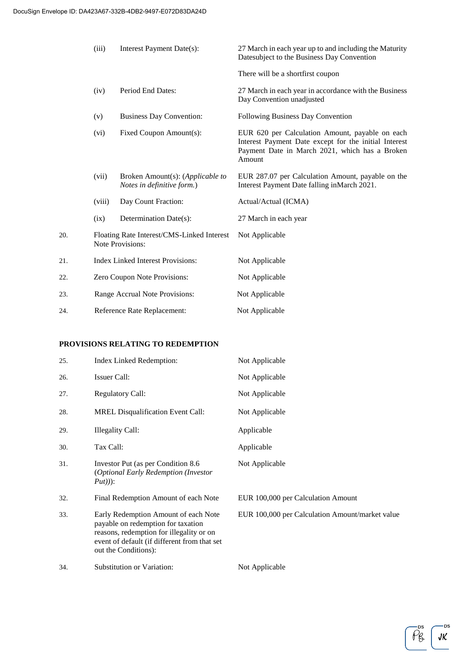|     | (iii)                                                                 | Interest Payment Date(s):                                      | 27 March in each year up to and including the Maturity<br>Datesubject to the Business Day Convention                                                                 |
|-----|-----------------------------------------------------------------------|----------------------------------------------------------------|----------------------------------------------------------------------------------------------------------------------------------------------------------------------|
|     |                                                                       |                                                                | There will be a shortfirst coupon                                                                                                                                    |
|     | (iv)                                                                  | Period End Dates:                                              | 27 March in each year in accordance with the Business<br>Day Convention unadjusted                                                                                   |
|     | (v)                                                                   | <b>Business Day Convention:</b>                                | Following Business Day Convention                                                                                                                                    |
|     | (vi)                                                                  | Fixed Coupon Amount(s):                                        | EUR 620 per Calculation Amount, payable on each<br>Interest Payment Date except for the initial Interest<br>Payment Date in March 2021, which has a Broken<br>Amount |
|     | (vii)                                                                 | Broken Amount(s): (Applicable to<br>Notes in definitive form.) | EUR 287.07 per Calculation Amount, payable on the<br>Interest Payment Date falling in March 2021.                                                                    |
|     | (viii)                                                                | Day Count Fraction:                                            | Actual/Actual (ICMA)                                                                                                                                                 |
|     | (ix)                                                                  | Determination Date(s):                                         | 27 March in each year                                                                                                                                                |
| 20. | Floating Rate Interest/CMS-Linked Interest<br><b>Note Provisions:</b> |                                                                | Not Applicable                                                                                                                                                       |
| 21. | <b>Index Linked Interest Provisions:</b>                              |                                                                | Not Applicable                                                                                                                                                       |
| 22. | Zero Coupon Note Provisions:                                          |                                                                | Not Applicable                                                                                                                                                       |
| 23. | Range Accrual Note Provisions:                                        |                                                                | Not Applicable                                                                                                                                                       |
| 24. |                                                                       | Reference Rate Replacement:                                    | Not Applicable                                                                                                                                                       |

### **PROVISIONS RELATING TO REDEMPTION**

| 25. | Index Linked Redemption:                                                                                                                                                                       | Not Applicable                                  |
|-----|------------------------------------------------------------------------------------------------------------------------------------------------------------------------------------------------|-------------------------------------------------|
| 26. | <b>Issuer Call:</b>                                                                                                                                                                            | Not Applicable                                  |
| 27. | <b>Regulatory Call:</b>                                                                                                                                                                        | Not Applicable                                  |
| 28. | <b>MREL Disqualification Event Call:</b>                                                                                                                                                       | Not Applicable                                  |
| 29. | Illegality Call:                                                                                                                                                                               | Applicable                                      |
| 30. | Tax Call:                                                                                                                                                                                      | Applicable                                      |
| 31. | Investor Put (as per Condition 8.6)<br><i>(Optional Early Redemption (Investor)</i><br>$Put))$ :                                                                                               | Not Applicable                                  |
| 32. | Final Redemption Amount of each Note                                                                                                                                                           | EUR 100,000 per Calculation Amount              |
| 33. | Early Redemption Amount of each Note<br>payable on redemption for taxation<br>reasons, redemption for illegality or on<br>event of default (if different from that set<br>out the Conditions): | EUR 100,000 per Calculation Amount/market value |
| 34. | Substitution or Variation:                                                                                                                                                                     | Not Applicable                                  |

·DS  $JK$ 

DS  $\tilde{\rho}_{8}$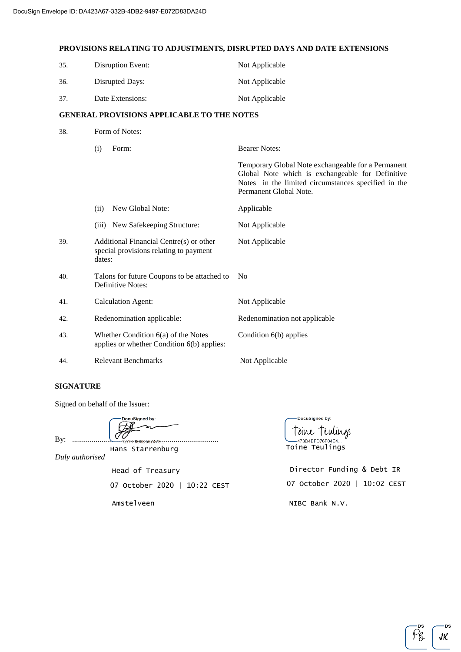### **PROVISIONS RELATING TO ADJUSTMENTS, DISRUPTED DAYS AND DATE EXTENSIONS**

| 35. | Disruption Event: | Not Applicable |
|-----|-------------------|----------------|
| 36. | Disrupted Days:   | Not Applicable |
| 37. | Date Extensions:  | Not Applicable |

#### **GENERAL PROVISIONS APPLICABLE TO THE NOTES**

| 38. | Form of Notes:                                                                              |                                                                                                                                                                                         |  |
|-----|---------------------------------------------------------------------------------------------|-----------------------------------------------------------------------------------------------------------------------------------------------------------------------------------------|--|
|     | (i)<br>Form:                                                                                | <b>Bearer Notes:</b>                                                                                                                                                                    |  |
|     |                                                                                             | Temporary Global Note exchangeable for a Permanent<br>Global Note which is exchangeable for Definitive<br>Notes in the limited circumstances specified in the<br>Permanent Global Note. |  |
|     | New Global Note:<br>(ii)                                                                    | Applicable                                                                                                                                                                              |  |
|     | (iii) New Safekeeping Structure:                                                            | Not Applicable                                                                                                                                                                          |  |
| 39. | Additional Financial Centre(s) or other<br>special provisions relating to payment<br>dates: | Not Applicable                                                                                                                                                                          |  |
| 40. | Talons for future Coupons to be attached to<br>Definitive Notes:                            | N <sub>0</sub>                                                                                                                                                                          |  |
| 41. | <b>Calculation Agent:</b>                                                                   | Not Applicable                                                                                                                                                                          |  |
| 42. | Redenomination applicable:                                                                  | Redenomination not applicable                                                                                                                                                           |  |
| 43. | Whether Condition $6(a)$ of the Notes<br>applies or whether Condition 6(b) applies:         | Condition 6(b) applies                                                                                                                                                                  |  |
| 44. | <b>Relevant Benchmarks</b>                                                                  | Not Applicable                                                                                                                                                                          |  |

#### **SIGNATURE**

Signed on behalf of the Issuer:

DocuSigned by: By: ...........................................................................

Amstelveen

Hans Starrenburg

*Duly authorised*

07 October 2020 | 10:22 CEST Head of Treasury

-DocuSigned by: Toine Tendings .<br>-473D4BFD76F04E4... Toine Teulings

Director Funding & Debt IR 07 October 2020 | 10:02 CEST NIBC Bank N.V.



**ns** 

JK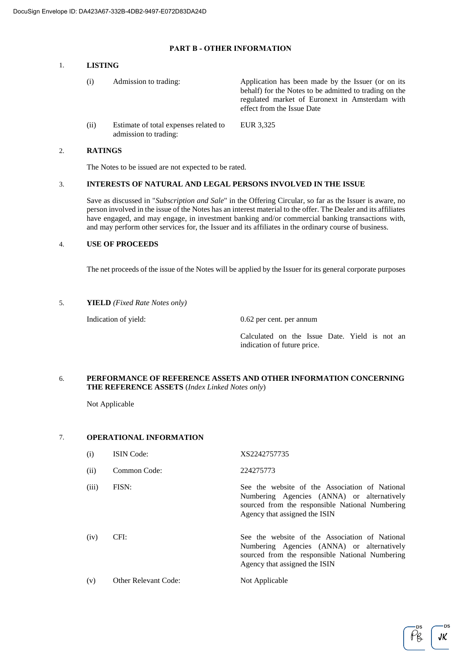#### **PART B - OTHER INFORMATION**

#### 1. **LISTING**

| (i)  | Admission to trading:                                          | Application has been made by the Issuer (or on its<br>behalf) for the Notes to be admitted to trading on the<br>regulated market of Euronext in Amsterdam with<br>effect from the Issue Date |
|------|----------------------------------------------------------------|----------------------------------------------------------------------------------------------------------------------------------------------------------------------------------------------|
| (ii) | Estimate of total expenses related to<br>admission to trading: | EUR 3,325                                                                                                                                                                                    |

## 2. **RATINGS**

The Notes to be issued are not expected to be rated.

#### 3. **INTERESTS OF NATURAL AND LEGAL PERSONS INVOLVED IN THE ISSUE**

Save as discussed in "*Subscription and Sale*" in the Offering Circular, so far as the Issuer is aware, no person involved in the issue of the Notes has an interest material to the offer. The Dealer and its affiliates have engaged, and may engage, in investment banking and/or commercial banking transactions with, and may perform other services for, the Issuer and its affiliates in the ordinary course of business.

### 4. **USE OF PROCEEDS**

The net proceeds of the issue of the Notes will be applied by the Issuer for its general corporate purposes

#### 5. **YIELD** *(Fixed Rate Notes only)*

Indication of yield: 0.62 per cent. per annum

Calculated on the Issue Date. Yield is not an indication of future price.

#### 6. **PERFORMANCE OF REFERENCE ASSETS AND OTHER INFORMATION CONCERNING THE REFERENCE ASSETS** (*Index Linked Notes only*)

Not Applicable

#### 7. **OPERATIONAL INFORMATION**

| (i)   | <b>ISIN</b> Code:           | XS2242757735                                                                                                                                                                     |
|-------|-----------------------------|----------------------------------------------------------------------------------------------------------------------------------------------------------------------------------|
| (ii)  | Common Code:                | 224275773                                                                                                                                                                        |
| (iii) | FISN:                       | See the website of the Association of National<br>Numbering Agencies (ANNA) or alternatively<br>sourced from the responsible National Numbering<br>Agency that assigned the ISIN |
| (iv)  | CFI:                        | See the website of the Association of National<br>Numbering Agencies (ANNA) or alternatively<br>sourced from the responsible National Numbering<br>Agency that assigned the ISIN |
| (v)   | <b>Other Relevant Code:</b> | Not Applicable                                                                                                                                                                   |

JK

 $P_{\mathcal{B}}$